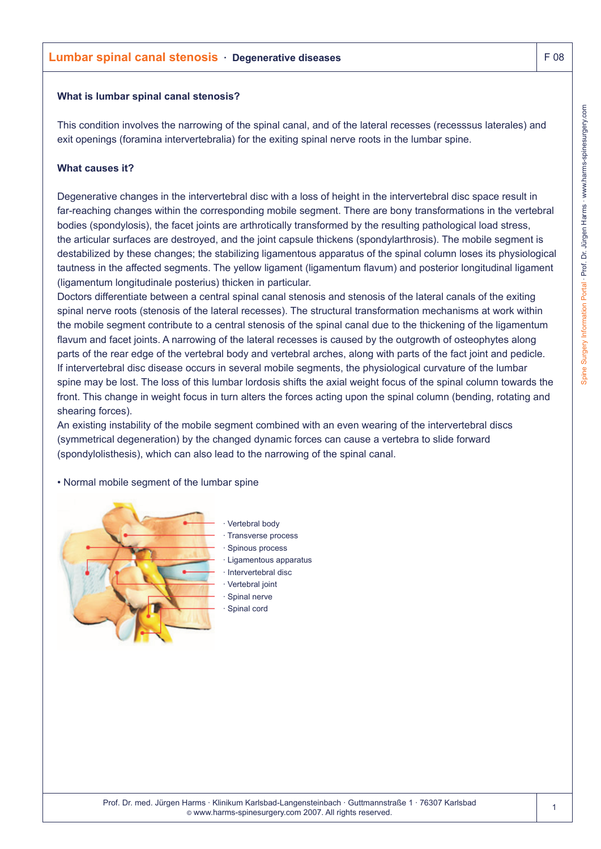#### **What is lumbar spinal canal stenosis?**

This condition involves the narrowing of the spinal canal, and of the lateral recesses (recesssus laterales) and exit openings (foramina intervertebralia) for the exiting spinal nerve roots in the lumbar spine.

#### **What causes it?**

Degenerative changes in the intervertebral disc with a loss of height in the intervertebral disc space result in far-reaching changes within the corresponding mobile segment. There are bony transformations in the vertebral bodies (spondylosis), the facet joints are arthrotically transformed by the resulting pathological load stress, the articular surfaces are destroyed, and the joint capsule thickens (spondylarthrosis). The mobile segment is destabilized by these changes; the stabilizing ligamentous apparatus of the spinal column loses its physiological tautness in the affected segments. The yellow ligament (ligamentum flavum) and posterior longitudinal ligament (ligamentum longitudinale posterius) thicken in particular.

Doctors differentiate between a central spinal canal stenosis and stenosis of the lateral canals of the exiting spinal nerve roots (stenosis of the lateral recesses). The structural transformation mechanisms at work within the mobile segment contribute to a central stenosis of the spinal canal due to the thickening of the ligamentum flavum and facet joints. A narrowing of the lateral recesses is caused by the outgrowth of osteophytes along parts of the rear edge of the vertebral body and vertebral arches, along with parts of the fact joint and pedicle. If intervertebral disc disease occurs in several mobile segments, the physiological curvature of the lumbar spine may be lost. The loss of this lumbar lordosis shifts the axial weight focus of the spinal column towards the front. This change in weight focus in turn alters the forces acting upon the spinal column (bending, rotating and shearing forces).

An existing instability of the mobile segment combined with an even wearing of the intervertebral discs (symmetrical degeneration) by the changed dynamic forces can cause a vertebra to slide forward (spondylolisthesis), which can also lead to the narrowing of the spinal canal.

• Normal mobile segment of the lumbar spine



- · Vertebral body
- · Transverse process
- Spinous process
- Ligamentous apparatus
- Intervertebral disc
- Vertebral joint
- Spinal nerve Spinal cord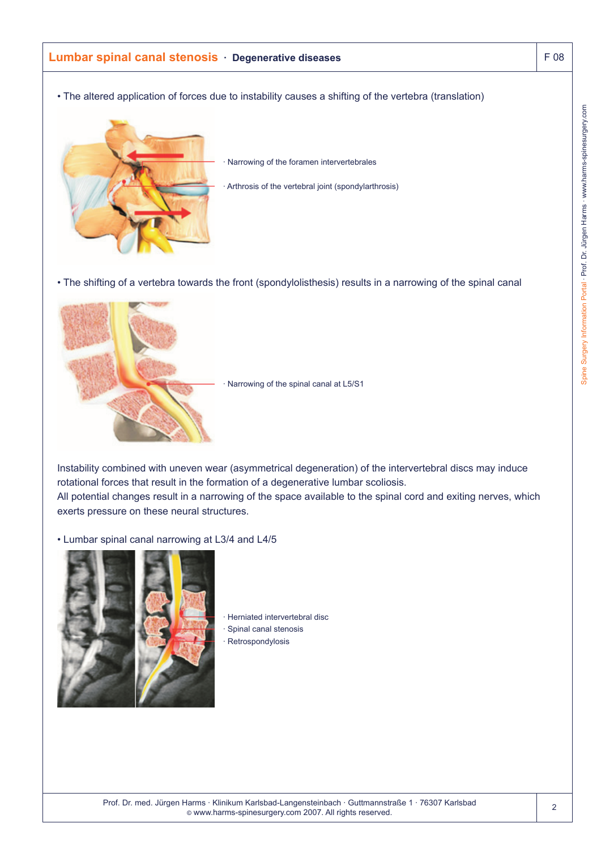

Narrowing of the spinal canal at L5/S1

Instability combined with uneven wear (asymmetrical degeneration) of the intervertebral discs may induce rotational forces that result in the formation of a degenerative lumbar scoliosis. All potential changes result in a narrowing of the space available to the spinal cord and exiting nerves, which exerts pressure on these neural structures.

• Lumbar spinal canal narrowing at L3/4 and L4/5



Herniated intervertebral disc Spinal canal stenosis **Retrospondylosis** 

Spine Surgery Information Portal · Prof. Dr. Jürgen Harms · www.harms-spinesurgery.com

Spine Surgery Information Portal - Prof. Dr. Jürgen Harms - www.harms-spinesurgery.com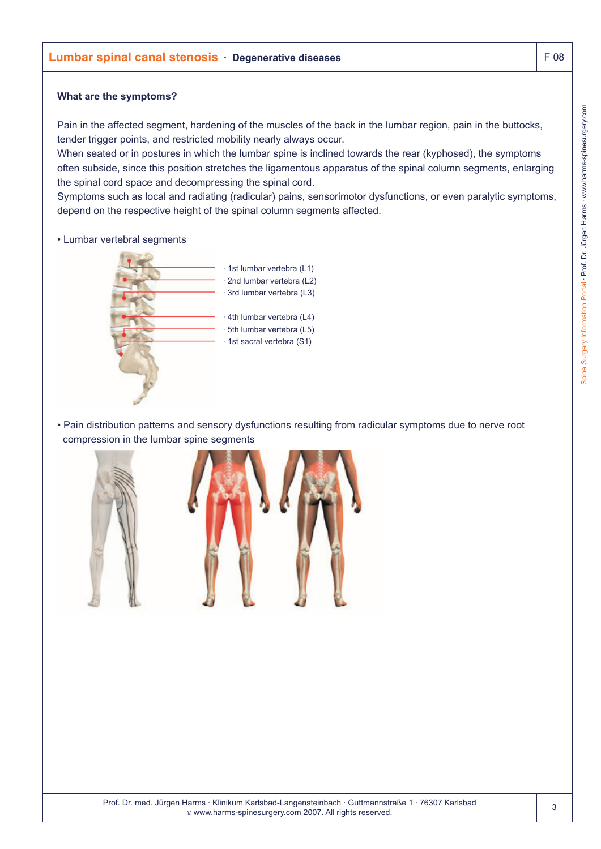### **Lumbar spinal canal stenosis · Degenerative diseases F 08** F 08

#### **What are the symptoms?**

Pain in the affected segment, hardening of the muscles of the back in the lumbar region, pain in the buttocks, tender trigger points, and restricted mobility nearly always occur.

When seated or in postures in which the lumbar spine is inclined towards the rear (kyphosed), the symptoms often subside, since this position stretches the ligamentous apparatus of the spinal column segments, enlarging the spinal cord space and decompressing the spinal cord.

Symptoms such as local and radiating (radicular) pains, sensorimotor dysfunctions, or even paralytic symptoms, depend on the respective height of the spinal column segments affected.

• Lumbar vertebral segments

# 1st lumbar vertebra (L1) 2nd lumbar vertebra (L2) 3rd lumbar vertebra (L3) 4th lumbar vertebra (L4)

• Pain distribution patterns and sensory dysfunctions resulting from radicular symptoms due to nerve root compression in the lumbar spine segments

5th lumbar vertebra (L5) 1st sacral vertebra (S1)

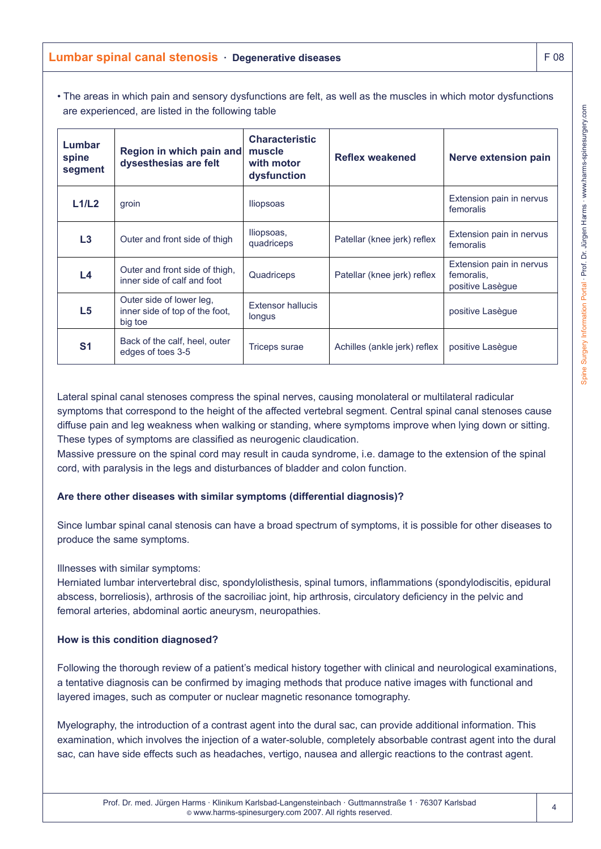## **Lumbar spinal canal stenosis · Degenerative diseases F 08** F 08

• The areas in which pain and sensory dysfunctions are felt, as well as the muscles in which motor dysfunctions are experienced, are listed in the following table

| Lumbar<br>spine<br>segment | Region in which pain and<br>dysesthesias are felt                     | <b>Characteristic</b><br>muscle<br>with motor<br>dysfunction | <b>Reflex weakened</b>       | Nerve extension pain                                       |
|----------------------------|-----------------------------------------------------------------------|--------------------------------------------------------------|------------------------------|------------------------------------------------------------|
| L1/L2                      | groin                                                                 | <b>Iliopsoas</b>                                             |                              | Extension pain in nervus<br>femoralis                      |
| L3                         | Outer and front side of thigh                                         | Iliopsoas,<br>quadriceps                                     | Patellar (knee jerk) reflex  | Extension pain in nervus<br>femoralis                      |
| L4                         | Outer and front side of thigh,<br>inner side of calf and foot         | Quadriceps                                                   | Patellar (knee jerk) reflex  | Extension pain in nervus<br>femoralis,<br>positive Lasègue |
| L <sub>5</sub>             | Outer side of lower leg,<br>inner side of top of the foot,<br>big toe | <b>Extensor hallucis</b><br>longus                           |                              | positive Lasègue                                           |
| S <sub>1</sub>             | Back of the calf, heel, outer<br>edges of toes 3-5                    | Triceps surae                                                | Achilles (ankle jerk) reflex | positive Lasègue                                           |

Lateral spinal canal stenoses compress the spinal nerves, causing monolateral or multilateral radicular symptoms that correspond to the height of the affected vertebral segment. Central spinal canal stenoses cause diffuse pain and leg weakness when walking or standing, where symptoms improve when lying down or sitting. These types of symptoms are classified as neurogenic claudication.

Massive pressure on the spinal cord may result in cauda syndrome, i.e. damage to the extension of the spinal cord, with paralysis in the legs and disturbances of bladder and colon function.

#### **Are there other diseases with similar symptoms (differential diagnosis)?**

Since lumbar spinal canal stenosis can have a broad spectrum of symptoms, it is possible for other diseases to produce the same symptoms.

#### Illnesses with similar symptoms:

Herniated lumbar intervertebral disc, spondylolisthesis, spinal tumors, inflammations (spondylodiscitis, epidural abscess, borreliosis), arthrosis of the sacroiliac joint, hip arthrosis, circulatory deficiency in the pelvic and femoral arteries, abdominal aortic aneurysm, neuropathies.

#### **How is this condition diagnosed?**

Following the thorough review of a patient's medical history together with clinical and neurological examinations, a tentative diagnosis can be confirmed by imaging methods that produce native images with functional and layered images, such as computer or nuclear magnetic resonance tomography.

Myelography, the introduction of a contrast agent into the dural sac, can provide additional information. This examination, which involves the injection of a water-soluble, completely absorbable contrast agent into the dural sac, can have side effects such as headaches, vertigo, nausea and allergic reactions to the contrast agent.

Prof. Dr. med. Jürgen Harms · Klinikum Karlsbad-Langensteinbach · Guttmannstraße 1 · 76307 Karlsbad © www.harms-spinesurgery.com 2007. All rights reserved.